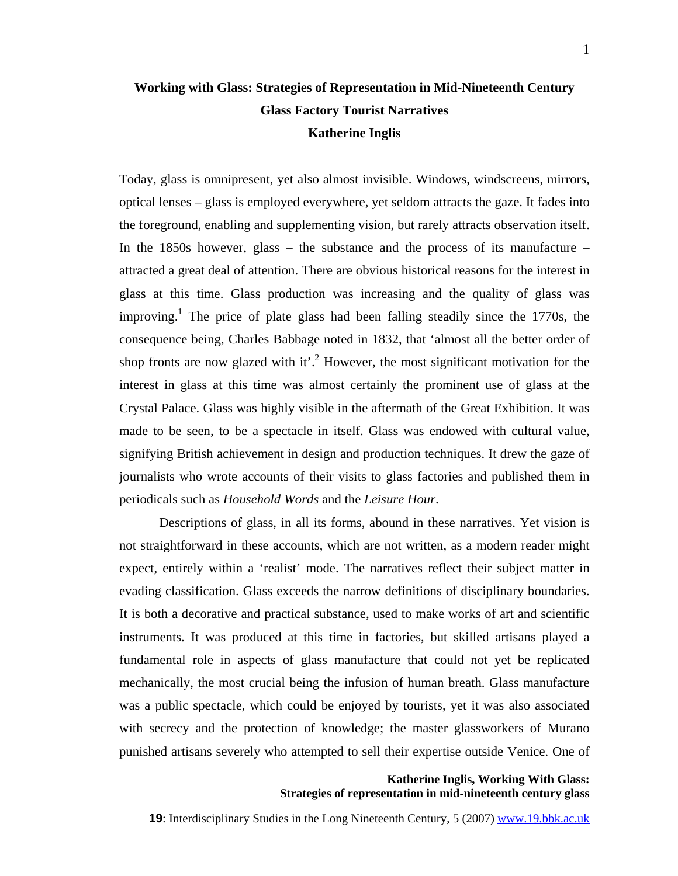# **Working with Glass: Strategies of Representation in Mid-Nineteenth Century Glass Factory Tourist Narratives Katherine Inglis**

Today, glass is omnipresent, yet also almost invisible. Windows, windscreens, mirrors, optical lenses – glass is employed everywhere, yet seldom attracts the gaze. It fades into the foreground, enabling and supplementing vision, but rarely attracts observation itself. In the 1850s however, glass – the substance and the process of its manufacture – attracted a great deal of attention. There are obvious historical reasons for the interest in glass at this time. Glass production was increasing and the quality of glass was improving.<sup>[1](#page-12-0)</sup> The price of plate glass had been falling steadily since the 1770s, the consequence being, Charles Babbage noted in 1832, that 'almost all the better order of shop fronts are now glazed with it'.<sup>2</sup> However, the most significant motivation for the interest in glass at this time was almost certainly the prominent use of glass at the Crystal Palace. Glass was highly visible in the aftermath of the Great Exhibition. It was made to be seen, to be a spectacle in itself. Glass was endowed with cultural value, signifying British achievement in design and production techniques. It drew the gaze of journalists who wrote accounts of their visits to glass factories and published them in periodicals such as *Household Words* and the *Leisure Hour*.

Descriptions of glass, in all its forms, abound in these narratives. Yet vision is not straightforward in these accounts, which are not written, as a modern reader might expect, entirely within a 'realist' mode. The narratives reflect their subject matter in evading classification. Glass exceeds the narrow definitions of disciplinary boundaries. It is both a decorative and practical substance, used to make works of art and scientific instruments. It was produced at this time in factories, but skilled artisans played a fundamental role in aspects of glass manufacture that could not yet be replicated mechanically, the most crucial being the infusion of human breath. Glass manufacture was a public spectacle, which could be enjoyed by tourists, yet it was also associated with secrecy and the protection of knowledge; the master glassworkers of Murano punished artisans severely who attempted to sell their expertise outside Venice. One of

# **Katherine Inglis, Working With Glass: Strategies of representation in mid-nineteenth century glass**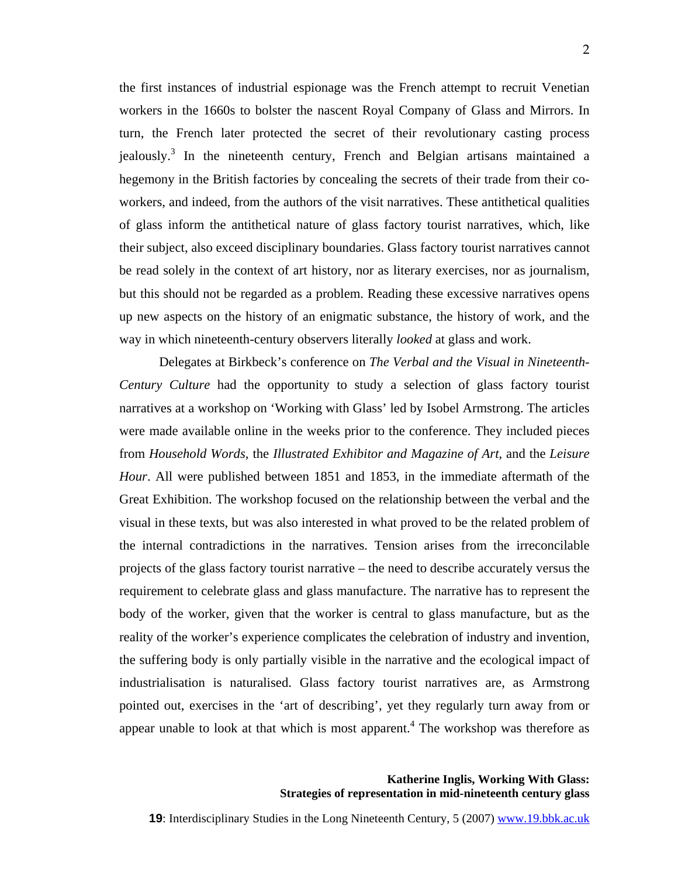the first instances of industrial espionage was the French attempt to recruit Venetian workers in the 1660s to bolster the nascent Royal Company of Glass and Mirrors. In turn, the French later protected the secret of their revolutionary casting process jealously.<sup>[3](#page-12-2)</sup> In the nineteenth century, French and Belgian artisans maintained a hegemony in the British factories by concealing the secrets of their trade from their coworkers, and indeed, from the authors of the visit narratives. These antithetical qualities of glass inform the antithetical nature of glass factory tourist narratives, which, like their subject, also exceed disciplinary boundaries. Glass factory tourist narratives cannot be read solely in the context of art history, nor as literary exercises, nor as journalism, but this should not be regarded as a problem. Reading these excessive narratives opens up new aspects on the history of an enigmatic substance, the history of work, and the way in which nineteenth-century observers literally *looked* at glass and work.

Delegates at Birkbeck's conference on *The Verbal and the Visual in Nineteenth-Century Culture* had the opportunity to study a selection of glass factory tourist narratives at a workshop on 'Working with Glass' led by Isobel Armstrong. The articles were made available online in the weeks prior to the conference. They included pieces from *Household Words,* the *Illustrated Exhibitor and Magazine of Art*, and the *Leisure Hour*. All were published between 1851 and 1853, in the immediate aftermath of the Great Exhibition. The workshop focused on the relationship between the verbal and the visual in these texts, but was also interested in what proved to be the related problem of the internal contradictions in the narratives. Tension arises from the irreconcilable projects of the glass factory tourist narrative – the need to describe accurately versus the requirement to celebrate glass and glass manufacture. The narrative has to represent the body of the worker, given that the worker is central to glass manufacture, but as the reality of the worker's experience complicates the celebration of industry and invention, the suffering body is only partially visible in the narrative and the ecological impact of industrialisation is naturalised. Glass factory tourist narratives are, as Armstrong pointed out, exercises in the 'art of describing', yet they regularly turn away from or appear unable to look at that which is most apparent.<sup>[4](#page-12-3)</sup> The workshop was therefore as

> **Katherine Inglis, Working With Glass: Strategies of representation in mid-nineteenth century glass**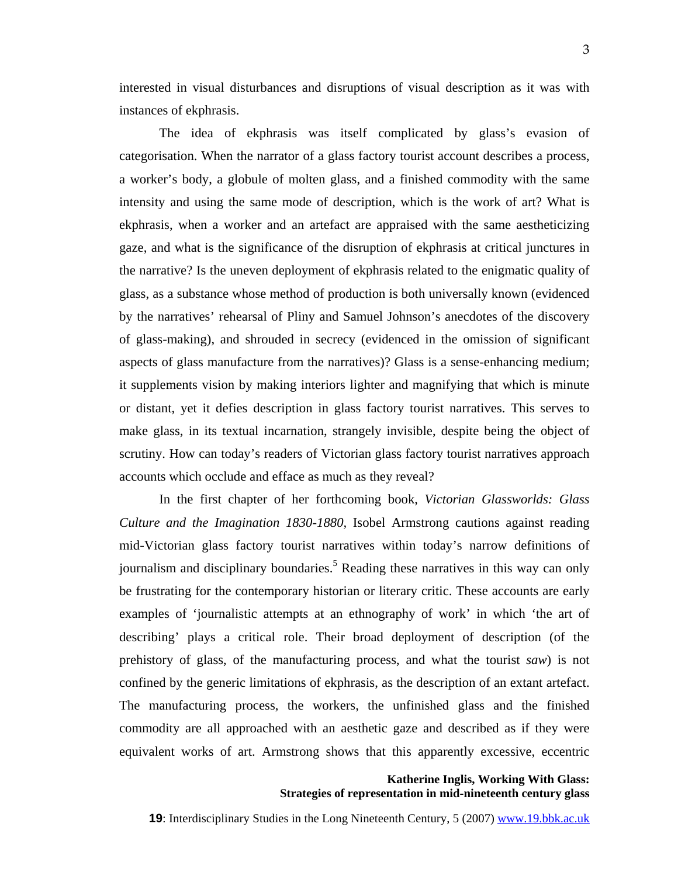interested in visual disturbances and disruptions of visual description as it was with instances of ekphrasis.

The idea of ekphrasis was itself complicated by glass's evasion of categorisation. When the narrator of a glass factory tourist account describes a process, a worker's body, a globule of molten glass, and a finished commodity with the same intensity and using the same mode of description, which is the work of art? What is ekphrasis, when a worker and an artefact are appraised with the same aestheticizing gaze, and what is the significance of the disruption of ekphrasis at critical junctures in the narrative? Is the uneven deployment of ekphrasis related to the enigmatic quality of glass, as a substance whose method of production is both universally known (evidenced by the narratives' rehearsal of Pliny and Samuel Johnson's anecdotes of the discovery of glass-making), and shrouded in secrecy (evidenced in the omission of significant aspects of glass manufacture from the narratives)? Glass is a sense-enhancing medium; it supplements vision by making interiors lighter and magnifying that which is minute or distant, yet it defies description in glass factory tourist narratives. This serves to make glass, in its textual incarnation, strangely invisible, despite being the object of scrutiny. How can today's readers of Victorian glass factory tourist narratives approach accounts which occlude and efface as much as they reveal?

In the first chapter of her forthcoming book, *Victorian Glassworlds: Glass Culture and the Imagination 1830-1880,* Isobel Armstrong cautions against reading mid-Victorian glass factory tourist narratives within today's narrow definitions of journalism and disciplinary boundaries.<sup>[5](#page-12-4)</sup> Reading these narratives in this way can only be frustrating for the contemporary historian or literary critic. These accounts are early examples of 'journalistic attempts at an ethnography of work' in which 'the art of describing' plays a critical role. Their broad deployment of description (of the prehistory of glass, of the manufacturing process, and what the tourist *saw*) is not confined by the generic limitations of ekphrasis, as the description of an extant artefact. The manufacturing process, the workers, the unfinished glass and the finished commodity are all approached with an aesthetic gaze and described as if they were equivalent works of art. Armstrong shows that this apparently excessive, eccentric

> **Katherine Inglis, Working With Glass: Strategies of representation in mid-nineteenth century glass**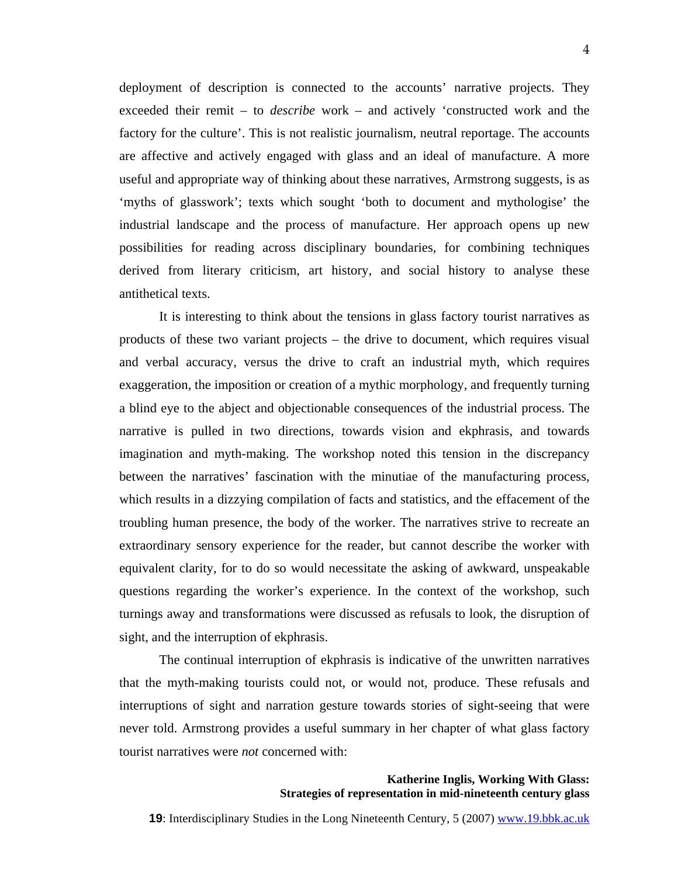deployment of description is connected to the accounts' narrative projects. They exceeded their remit – to *describe* work – and actively 'constructed work and the factory for the culture'. This is not realistic journalism, neutral reportage. The accounts are affective and actively engaged with glass and an ideal of manufacture. A more useful and appropriate way of thinking about these narratives, Armstrong suggests, is as 'myths of glasswork'; texts which sought 'both to document and mythologise' the industrial landscape and the process of manufacture. Her approach opens up new possibilities for reading across disciplinary boundaries, for combining techniques derived from literary criticism, art history, and social history to analyse these antithetical texts.

It is interesting to think about the tensions in glass factory tourist narratives as products of these two variant projects – the drive to document, which requires visual and verbal accuracy, versus the drive to craft an industrial myth, which requires exaggeration, the imposition or creation of a mythic morphology, and frequently turning a blind eye to the abject and objectionable consequences of the industrial process. The narrative is pulled in two directions, towards vision and ekphrasis, and towards imagination and myth-making. The workshop noted this tension in the discrepancy between the narratives' fascination with the minutiae of the manufacturing process, which results in a dizzying compilation of facts and statistics, and the effacement of the troubling human presence, the body of the worker. The narratives strive to recreate an extraordinary sensory experience for the reader, but cannot describe the worker with equivalent clarity, for to do so would necessitate the asking of awkward, unspeakable questions regarding the worker's experience. In the context of the workshop, such turnings away and transformations were discussed as refusals to look, the disruption of sight, and the interruption of ekphrasis.

The continual interruption of ekphrasis is indicative of the unwritten narratives that the myth-making tourists could not, or would not, produce. These refusals and interruptions of sight and narration gesture towards stories of sight-seeing that were never told. Armstrong provides a useful summary in her chapter of what glass factory tourist narratives were *not* concerned with:

#### **Katherine Inglis, Working With Glass: Strategies of representation in mid-nineteenth century glass**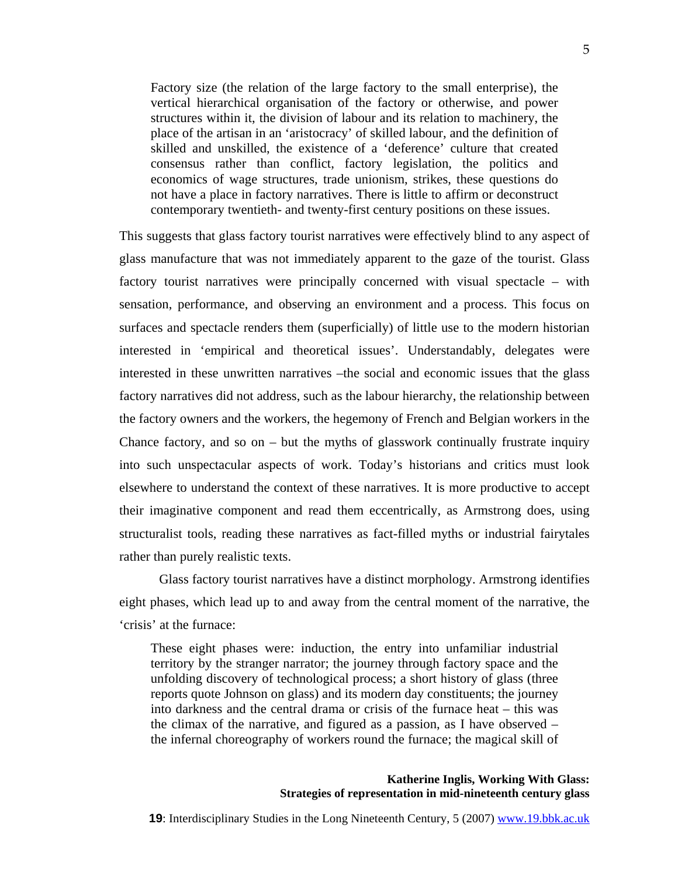Factory size (the relation of the large factory to the small enterprise), the vertical hierarchical organisation of the factory or otherwise, and power structures within it, the division of labour and its relation to machinery, the place of the artisan in an 'aristocracy' of skilled labour, and the definition of skilled and unskilled, the existence of a 'deference' culture that created consensus rather than conflict, factory legislation, the politics and economics of wage structures, trade unionism, strikes, these questions do not have a place in factory narratives. There is little to affirm or deconstruct contemporary twentieth- and twenty-first century positions on these issues.

This suggests that glass factory tourist narratives were effectively blind to any aspect of glass manufacture that was not immediately apparent to the gaze of the tourist. Glass factory tourist narratives were principally concerned with visual spectacle – with sensation, performance, and observing an environment and a process. This focus on surfaces and spectacle renders them (superficially) of little use to the modern historian interested in 'empirical and theoretical issues'. Understandably, delegates were interested in these unwritten narratives –the social and economic issues that the glass factory narratives did not address, such as the labour hierarchy, the relationship between the factory owners and the workers, the hegemony of French and Belgian workers in the Chance factory, and so on  $-$  but the myths of glasswork continually frustrate inquiry into such unspectacular aspects of work. Today's historians and critics must look elsewhere to understand the context of these narratives. It is more productive to accept their imaginative component and read them eccentrically, as Armstrong does, using structuralist tools, reading these narratives as fact-filled myths or industrial fairytales rather than purely realistic texts.

Glass factory tourist narratives have a distinct morphology. Armstrong identifies eight phases, which lead up to and away from the central moment of the narrative, the 'crisis' at the furnace:

These eight phases were: induction, the entry into unfamiliar industrial territory by the stranger narrator; the journey through factory space and the unfolding discovery of technological process; a short history of glass (three reports quote Johnson on glass) and its modern day constituents; the journey into darkness and the central drama or crisis of the furnace heat – this was the climax of the narrative, and figured as a passion, as I have observed – the infernal choreography of workers round the furnace; the magical skill of

#### **Katherine Inglis, Working With Glass: Strategies of representation in mid-nineteenth century glass**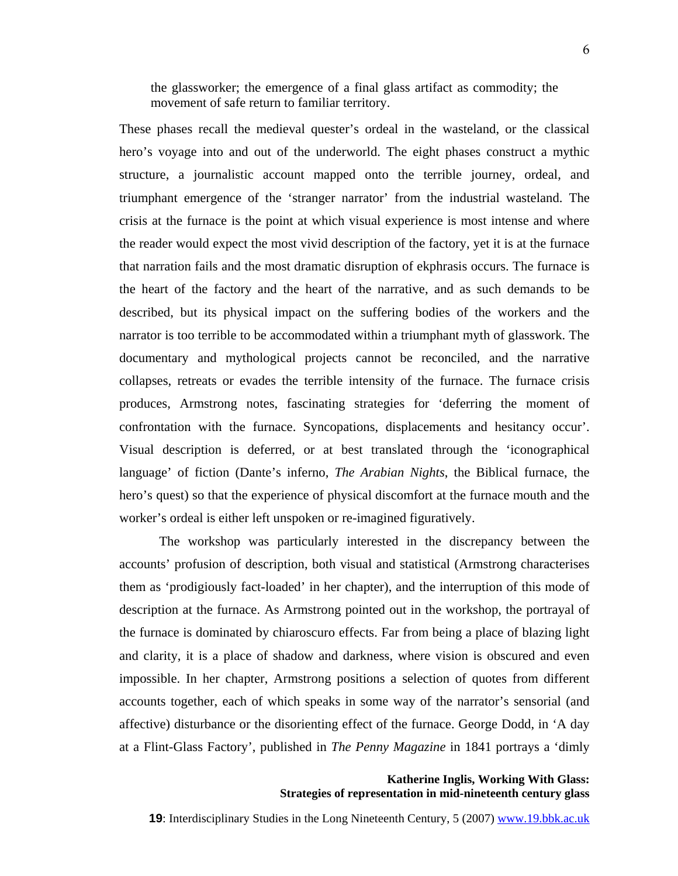the glassworker; the emergence of a final glass artifact as commodity; the movement of safe return to familiar territory.

These phases recall the medieval quester's ordeal in the wasteland, or the classical hero's voyage into and out of the underworld. The eight phases construct a mythic structure, a journalistic account mapped onto the terrible journey, ordeal, and triumphant emergence of the 'stranger narrator' from the industrial wasteland. The crisis at the furnace is the point at which visual experience is most intense and where the reader would expect the most vivid description of the factory, yet it is at the furnace that narration fails and the most dramatic disruption of ekphrasis occurs. The furnace is the heart of the factory and the heart of the narrative, and as such demands to be described, but its physical impact on the suffering bodies of the workers and the narrator is too terrible to be accommodated within a triumphant myth of glasswork. The documentary and mythological projects cannot be reconciled, and the narrative collapses, retreats or evades the terrible intensity of the furnace. The furnace crisis produces, Armstrong notes, fascinating strategies for 'deferring the moment of confrontation with the furnace. Syncopations, displacements and hesitancy occur'. Visual description is deferred, or at best translated through the 'iconographical language' of fiction (Dante's inferno, *The Arabian Nights*, the Biblical furnace, the hero's quest) so that the experience of physical discomfort at the furnace mouth and the worker's ordeal is either left unspoken or re-imagined figuratively.

The workshop was particularly interested in the discrepancy between the accounts' profusion of description, both visual and statistical (Armstrong characterises them as 'prodigiously fact-loaded' in her chapter), and the interruption of this mode of description at the furnace. As Armstrong pointed out in the workshop, the portrayal of the furnace is dominated by chiaroscuro effects. Far from being a place of blazing light and clarity, it is a place of shadow and darkness, where vision is obscured and even impossible. In her chapter, Armstrong positions a selection of quotes from different accounts together, each of which speaks in some way of the narrator's sensorial (and affective) disturbance or the disorienting effect of the furnace. George Dodd, in 'A day at a Flint-Glass Factory', published in *The Penny Magazine* in 1841 portrays a 'dimly

> **Katherine Inglis, Working With Glass: Strategies of representation in mid-nineteenth century glass**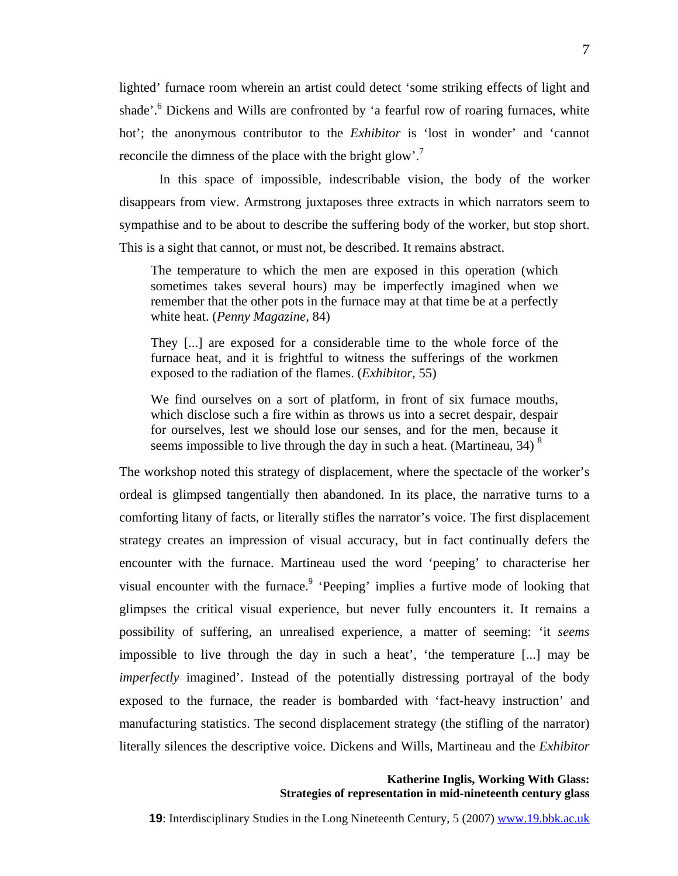lighted' furnace room wherein an artist could detect 'some striking effects of light and shade'.<sup>[6](#page-12-5)</sup> Dickens and Wills are confronted by 'a fearful row of roaring furnaces, white hot'; the anonymous contributor to the *Exhibitor* is 'lost in wonder' and 'cannot reconcile the dimness of the place with the bright glow'.<sup>[7](#page-12-2)</sup>

In this space of impossible, indescribable vision, the body of the worker disappears from view. Armstrong juxtaposes three extracts in which narrators seem to sympathise and to be about to describe the suffering body of the worker, but stop short. This is a sight that cannot, or must not, be described. It remains abstract.

The temperature to which the men are exposed in this operation (which sometimes takes several hours) may be imperfectly imagined when we remember that the other pots in the furnace may at that time be at a perfectly white heat. (*Penny Magazine,* 84)

They [...] are exposed for a considerable time to the whole force of the furnace heat, and it is frightful to witness the sufferings of the workmen exposed to the radiation of the flames. (*Exhibitor*, 55)

We find ourselves on a sort of platform, in front of six furnace mouths, which disclose such a fire within as throws us into a secret despair, despair for ourselves, lest we should lose our senses, and for the men, because it seems impossible to live through the day in such a heat. (Martineau,  $34$ )  $8$ 

The workshop noted this strategy of displacement, where the spectacle of the worker's ordeal is glimpsed tangentially then abandoned. In its place, the narrative turns to a comforting litany of facts, or literally stifles the narrator's voice. The first displacement strategy creates an impression of visual accuracy, but in fact continually defers the encounter with the furnace. Martineau used the word 'peeping' to characterise her visual encounter with the furnace.<sup>[9](#page-12-7)</sup> 'Peeping' implies a furtive mode of looking that glimpses the critical visual experience, but never fully encounters it. It remains a possibility of suffering, an unrealised experience, a matter of seeming: 'it *seems* impossible to live through the day in such a heat', 'the temperature [...] may be *imperfectly* imagined'. Instead of the potentially distressing portrayal of the body exposed to the furnace, the reader is bombarded with 'fact-heavy instruction' and manufacturing statistics. The second displacement strategy (the stifling of the narrator) literally silences the descriptive voice. Dickens and Wills, Martineau and the *Exhibitor* 

## **Katherine Inglis, Working With Glass: Strategies of representation in mid-nineteenth century glass**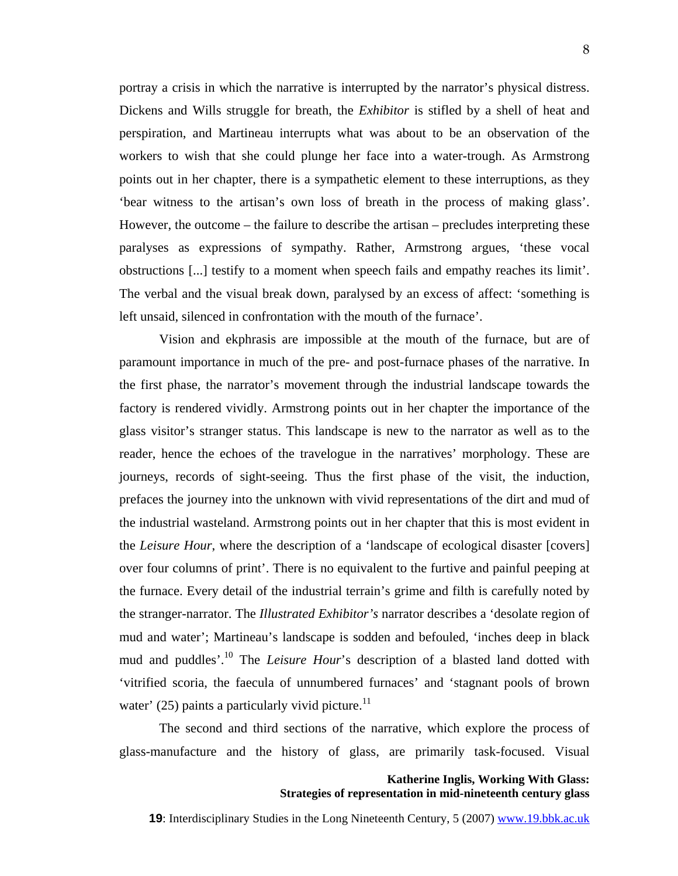portray a crisis in which the narrative is interrupted by the narrator's physical distress. Dickens and Wills struggle for breath, the *Exhibitor* is stifled by a shell of heat and perspiration, and Martineau interrupts what was about to be an observation of the workers to wish that she could plunge her face into a water-trough. As Armstrong points out in her chapter, there is a sympathetic element to these interruptions, as they 'bear witness to the artisan's own loss of breath in the process of making glass'. However, the outcome – the failure to describe the artisan – precludes interpreting these paralyses as expressions of sympathy. Rather, Armstrong argues, 'these vocal obstructions [...] testify to a moment when speech fails and empathy reaches its limit'. The verbal and the visual break down, paralysed by an excess of affect: 'something is left unsaid, silenced in confrontation with the mouth of the furnace'.

Vision and ekphrasis are impossible at the mouth of the furnace, but are of paramount importance in much of the pre- and post-furnace phases of the narrative. In the first phase, the narrator's movement through the industrial landscape towards the factory is rendered vividly. Armstrong points out in her chapter the importance of the glass visitor's stranger status. This landscape is new to the narrator as well as to the reader, hence the echoes of the travelogue in the narratives' morphology. These are journeys, records of sight-seeing. Thus the first phase of the visit, the induction, prefaces the journey into the unknown with vivid representations of the dirt and mud of the industrial wasteland. Armstrong points out in her chapter that this is most evident in the *Leisure Hour*, where the description of a 'landscape of ecological disaster [covers] over four columns of print'. There is no equivalent to the furtive and painful peeping at the furnace. Every detail of the industrial terrain's grime and filth is carefully noted by the stranger-narrator. The *Illustrated Exhibitor's* narrator describes a 'desolate region of mud and water'; Martineau's landscape is sodden and befouled, 'inches deep in black mud and puddles'.[10](#page-12-8) The *Leisure Hour*'s description of a blasted land dotted with 'vitrified scoria, the faecula of unnumbered furnaces' and 'stagnant pools of brown water' (25) paints a particularly vivid picture.<sup>11</sup>

The second and third sections of the narrative, which explore the process of glass-manufacture and the history of glass, are primarily task-focused. Visual

# **Katherine Inglis, Working With Glass: Strategies of representation in mid-nineteenth century glass**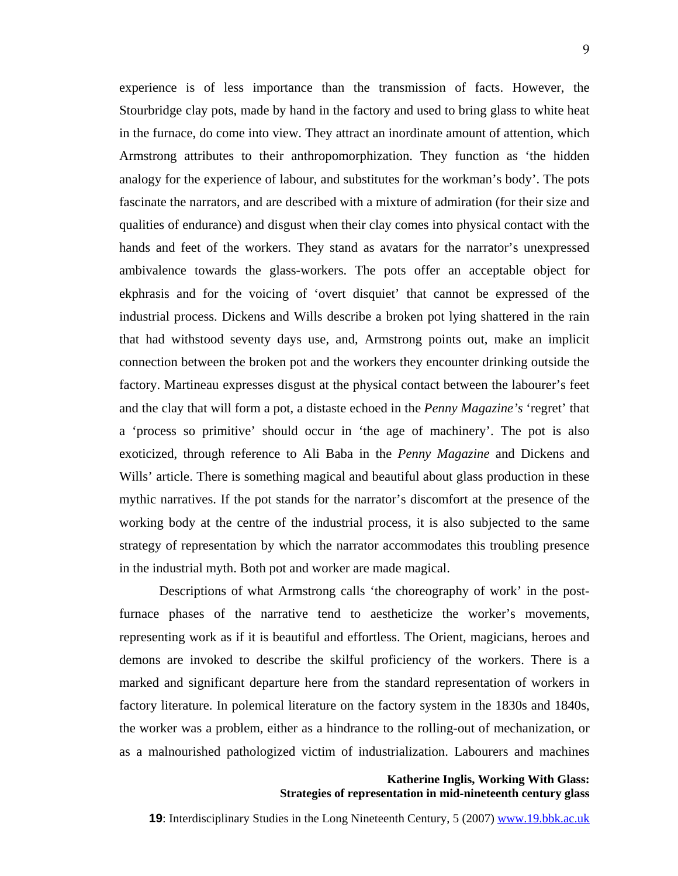experience is of less importance than the transmission of facts. However, the Stourbridge clay pots, made by hand in the factory and used to bring glass to white heat

in the furnace, do come into view. They attract an inordinate amount of attention, which Armstrong attributes to their anthropomorphization. They function as 'the hidden analogy for the experience of labour, and substitutes for the workman's body'. The pots fascinate the narrators, and are described with a mixture of admiration (for their size and qualities of endurance) and disgust when their clay comes into physical contact with the hands and feet of the workers. They stand as avatars for the narrator's unexpressed ambivalence towards the glass-workers. The pots offer an acceptable object for ekphrasis and for the voicing of 'overt disquiet' that cannot be expressed of the industrial process. Dickens and Wills describe a broken pot lying shattered in the rain that had withstood seventy days use, and, Armstrong points out, make an implicit connection between the broken pot and the workers they encounter drinking outside the factory. Martineau expresses disgust at the physical contact between the labourer's feet and the clay that will form a pot, a distaste echoed in the *Penny Magazine's* 'regret' that a 'process so primitive' should occur in 'the age of machinery'. The pot is also exoticized, through reference to Ali Baba in the *Penny Magazine* and Dickens and Wills' article. There is something magical and beautiful about glass production in these mythic narratives. If the pot stands for the narrator's discomfort at the presence of the working body at the centre of the industrial process, it is also subjected to the same strategy of representation by which the narrator accommodates this troubling presence in the industrial myth. Both pot and worker are made magical.

Descriptions of what Armstrong calls 'the choreography of work' in the postfurnace phases of the narrative tend to aestheticize the worker's movements, representing work as if it is beautiful and effortless. The Orient, magicians, heroes and demons are invoked to describe the skilful proficiency of the workers. There is a marked and significant departure here from the standard representation of workers in factory literature. In polemical literature on the factory system in the 1830s and 1840s, the worker was a problem, either as a hindrance to the rolling-out of mechanization, or as a malnourished pathologized victim of industrialization. Labourers and machines

# **Katherine Inglis, Working With Glass: Strategies of representation in mid-nineteenth century glass**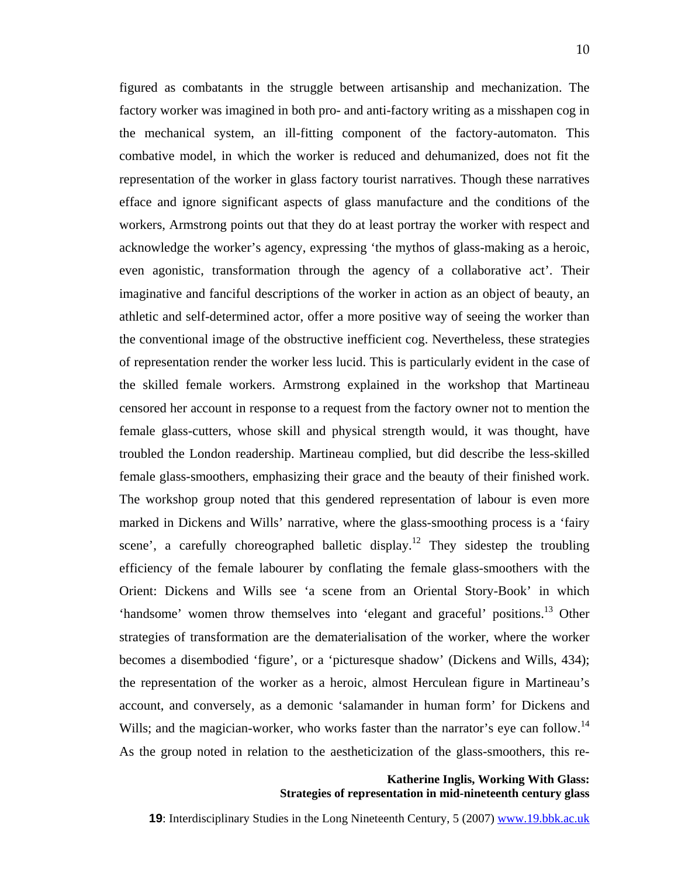figured as combatants in the struggle between artisanship and mechanization. The factory worker was imagined in both pro- and anti-factory writing as a misshapen cog in the mechanical system, an ill-fitting component of the factory-automaton. This combative model, in which the worker is reduced and dehumanized, does not fit the representation of the worker in glass factory tourist narratives. Though these narratives efface and ignore significant aspects of glass manufacture and the conditions of the workers, Armstrong points out that they do at least portray the worker with respect and acknowledge the worker's agency, expressing 'the mythos of glass-making as a heroic, even agonistic, transformation through the agency of a collaborative act'. Their imaginative and fanciful descriptions of the worker in action as an object of beauty, an athletic and self-determined actor, offer a more positive way of seeing the worker than the conventional image of the obstructive inefficient cog. Nevertheless, these strategies of representation render the worker less lucid. This is particularly evident in the case of the skilled female workers. Armstrong explained in the workshop that Martineau censored her account in response to a request from the factory owner not to mention the female glass-cutters, whose skill and physical strength would, it was thought, have troubled the London readership. Martineau complied, but did describe the less-skilled female glass-smoothers, emphasizing their grace and the beauty of their finished work. The workshop group noted that this gendered representation of labour is even more marked in Dickens and Wills' narrative, where the glass-smoothing process is a 'fairy scene', a carefully choreographed balletic display.<sup>12</sup> They sidestep the troubling efficiency of the female labourer by conflating the female glass-smoothers with the Orient: Dickens and Wills see 'a scene from an Oriental Story-Book' in which 'handsome' women throw themselves into 'elegant and graceful' positions.<sup>13</sup> Other strategies of transformation are the dematerialisation of the worker, where the worker becomes a disembodied 'figure', or a 'picturesque shadow' (Dickens and Wills, 434); the representation of the worker as a heroic, almost Herculean figure in Martineau's account, and conversely, as a demonic 'salamander in human form' for Dickens and Wills; and the magician-worker, who works faster than the narrator's eye can follow.<sup>14</sup> As the group noted in relation to the aestheticization of the glass-smoothers, this re-

## **Katherine Inglis, Working With Glass: Strategies of representation in mid-nineteenth century glass**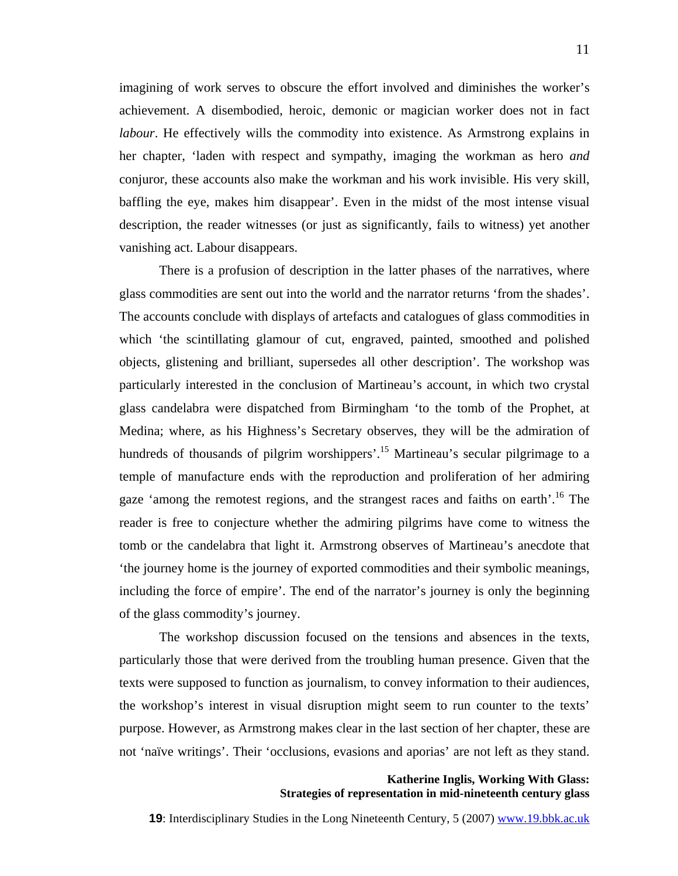imagining of work serves to obscure the effort involved and diminishes the worker's achievement. A disembodied, heroic, demonic or magician worker does not in fact *labour*. He effectively wills the commodity into existence. As Armstrong explains in her chapter, 'laden with respect and sympathy, imaging the workman as hero *and* conjuror, these accounts also make the workman and his work invisible. His very skill, baffling the eye, makes him disappear'. Even in the midst of the most intense visual description, the reader witnesses (or just as significantly, fails to witness) yet another vanishing act. Labour disappears.

There is a profusion of description in the latter phases of the narratives, where glass commodities are sent out into the world and the narrator returns 'from the shades'. The accounts conclude with displays of artefacts and catalogues of glass commodities in which 'the scintillating glamour of cut, engraved, painted, smoothed and polished objects, glistening and brilliant, supersedes all other description'. The workshop was particularly interested in the conclusion of Martineau's account, in which two crystal glass candelabra were dispatched from Birmingham 'to the tomb of the Prophet, at Medina; where, as his Highness's Secretary observes, they will be the admiration of hundreds of thousands of pilgrim worshippers'.<sup>15</sup> Martineau's secular pilgrimage to a temple of manufacture ends with the reproduction and proliferation of her admiring gaze 'among the remotest regions, and the strangest races and faiths on earth'.<sup>16</sup> The reader is free to conjecture whether the admiring pilgrims have come to witness the tomb or the candelabra that light it. Armstrong observes of Martineau's anecdote that 'the journey home is the journey of exported commodities and their symbolic meanings, including the force of empire'. The end of the narrator's journey is only the beginning of the glass commodity's journey.

The workshop discussion focused on the tensions and absences in the texts, particularly those that were derived from the troubling human presence. Given that the texts were supposed to function as journalism, to convey information to their audiences, the workshop's interest in visual disruption might seem to run counter to the texts' purpose. However, as Armstrong makes clear in the last section of her chapter, these are not 'naïve writings'. Their 'occlusions, evasions and aporias' are not left as they stand.

# **Katherine Inglis, Working With Glass: Strategies of representation in mid-nineteenth century glass**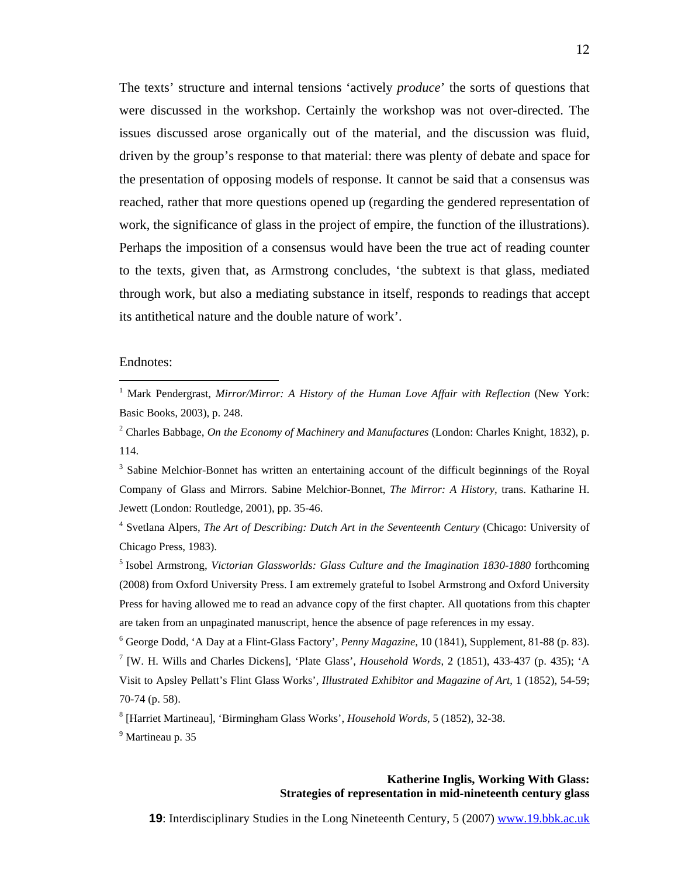The texts' structure and internal tensions 'actively *produce*' the sorts of questions that were discussed in the workshop. Certainly the workshop was not over-directed. The issues discussed arose organically out of the material, and the discussion was fluid, driven by the group's response to that material: there was plenty of debate and space for the presentation of opposing models of response. It cannot be said that a consensus was reached, rather that more questions opened up (regarding the gendered representation of work, the significance of glass in the project of empire, the function of the illustrations). Perhaps the imposition of a consensus would have been the true act of reading counter to the texts, given that, as Armstrong concludes, 'the subtext is that glass, mediated through work, but also a mediating substance in itself, responds to readings that accept its antithetical nature and the double nature of work'.

#### Endnotes:

<sup>3</sup> Sabine Melchior-Bonnet has written an entertaining account of the difficult beginnings of the Royal Company of Glass and Mirrors. Sabine Melchior-Bonnet, *The Mirror: A History*, trans. Katharine H. Jewett (London: Routledge, 2001), pp. 35-46.

4 Svetlana Alpers, *The Art of Describing: Dutch Art in the Seventeenth Century* (Chicago: University of Chicago Press, 1983).

5 Isobel Armstrong, *Victorian Glassworlds: Glass Culture and the Imagination 1830-1880* forthcoming (2008) from Oxford University Press. I am extremely grateful to Isobel Armstrong and Oxford University Press for having allowed me to read an advance copy of the first chapter. All quotations from this chapter are taken from an unpaginated manuscript, hence the absence of page references in my essay.

6 George Dodd, 'A Day at a Flint-Glass Factory', *Penny Magazine*, 10 (1841), Supplement, 81-88 (p. 83). 7 [W. H. Wills and Charles Dickens], 'Plate Glass', *Household Words*, 2 (1851), 433-437 (p. 435); 'A Visit to Apsley Pellatt's Flint Glass Works', *Illustrated Exhibitor and Magazine of Art*, 1 (1852), 54-59; 70-74 (p. 58).

8 [Harriet Martineau], 'Birmingham Glass Works', *Household Words*, 5 (1852), 32-38.

<sup>9</sup> Martineau p. 35

#### **Katherine Inglis, Working With Glass: Strategies of representation in mid-nineteenth century glass**

<sup>1</sup> Mark Pendergrast, *Mirror/Mirror: A History of the Human Love Affair with Reflection* (New York: Basic Books, 2003), p. 248.

<sup>2</sup> Charles Babbage, *On the Economy of Machinery and Manufactures* (London: Charles Knight, 1832), p. 114.